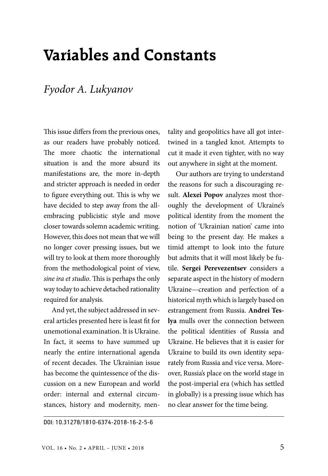## **Variables and Constants**

## *Fyodor A. Lukyanov*

This issue differs from the previous ones, as our readers have probably noticed. The more chaotic the international situation is and the more absurd its manifestations are, the more in-depth and stricter approach is needed in order to figure everything out. This is why we have decided to step away from the allembracing publicistic style and move closer towards solemn academic writing. However, this does not mean that we will no longer cover pressing issues, but we will try to look at them more thoroughly from the methodological point of view, *sine ira et studio*. This is perhaps the only way today to achieve detached rationality required for analysis.

And yet, the subject addressed in several articles presented here is least fit for unemotional examination. It is Ukraine. In fact, it seems to have summed up nearly the entire international agenda of recent decades. The Ukrainian issue has become the quintessence of the discussion on a new European and world order: internal and external circumstances, history and modernity, mentality and geopolitics have all got intertwined in a tangled knot. Attempts to cut it made it even tighter, with no way out anywhere in sight at the moment.

Our authors are trying to understand the reasons for such a discouraging result. **Alexei Popov** analyzes most thoroughly the development of Ukraine's political identity from the moment the notion of 'Ukrainian nation' came into being to the present day. He makes a timid attempt to look into the future but admits that it will most likely be futile. **Sergei Perevezentsev** considers a separate aspect in the history of modern Ukraine—creation and perfection of a historical myth which is largely based on estrangement from Russia. **Andrei Teslya** mulls over the connection between the political identities of Russia and Ukraine. He believes that it is easier for Ukraine to build its own identity separately from Russia and vice versa. Moreover, Russia's place on the world stage in the post-imperial era (which has settled in globally) is a pressing issue which has no clear answer for the time being.

DOI: 10.31278/1810-6374-2018-16-2-5-6